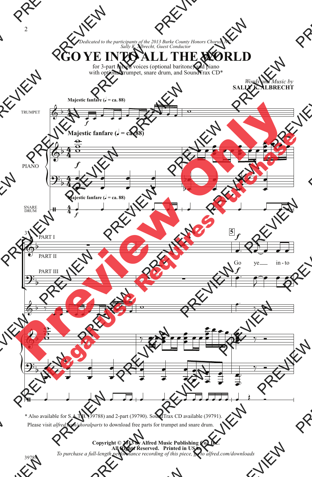*Dedicated to the participants of the 2013 Burke County Honors Chorus, NC. Sally K. Albrecht, Guest Conductor*

## **GO YE INTO ALL THE WORLD**

for 3-part mixed voices (optional baritone) and piano with optional trumpet, snare drum, and SoundTrax CD\*

> *Words and Music by* **SALLY K. ALBRECHT**



<sup>\*</sup> Also available for S.A.T.B. (39788) and 2-part (39790). SoundTrax CD available (39791). Please visit *alfred.com/choralparts* to download free parts for trumpet and snare drum.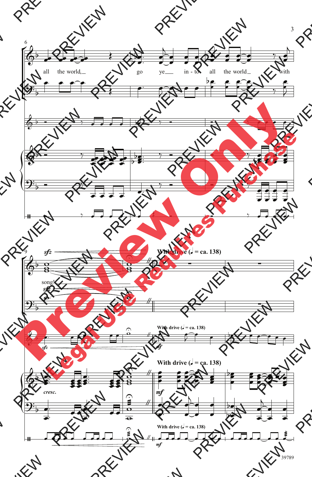

39789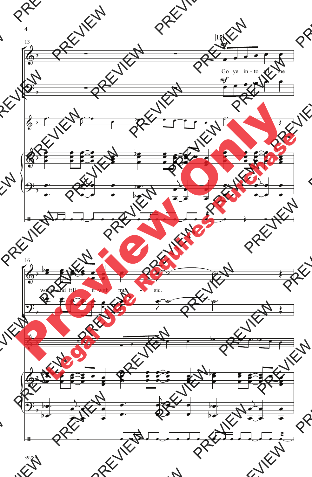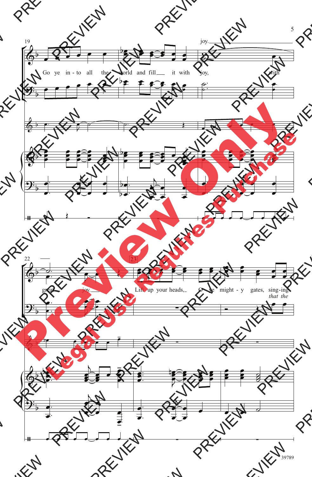

39789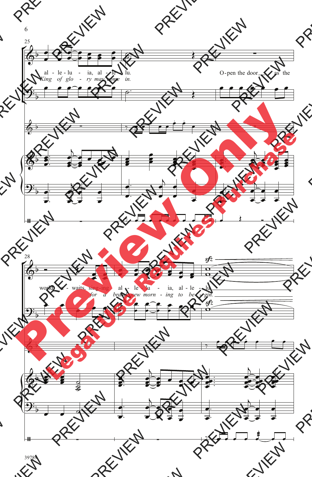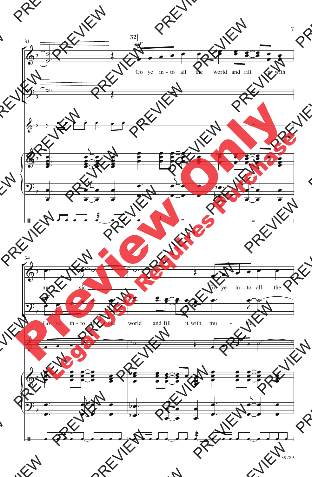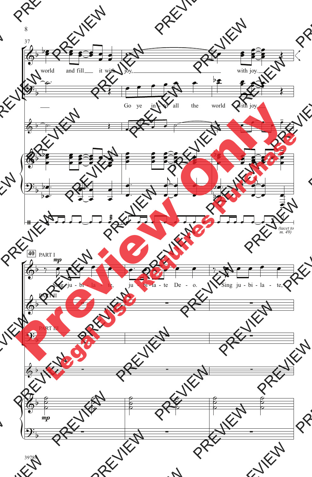

8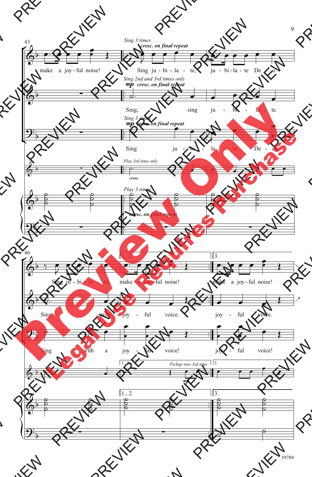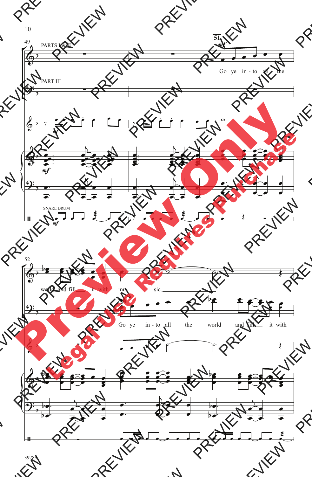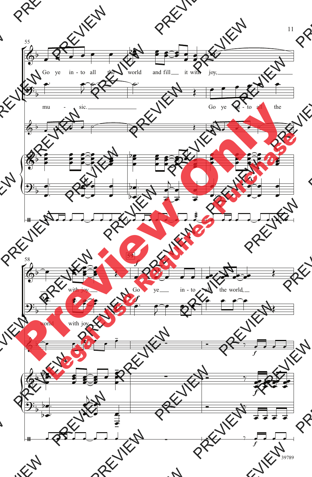